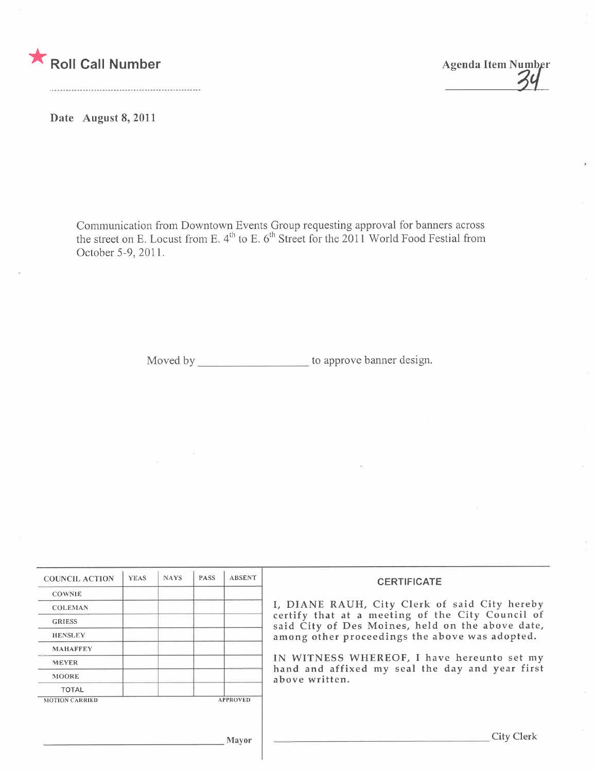

Date August 8, 2011

Communication from Downtown Events Group requesting approval for banners across the street on E. Locust from E.  $4^{\circ}$  to E. 6 $^{\circ}$  Street for the 2011 World Food Festial from October 5-9,2011.

Moved by \_\_\_\_\_\_\_\_\_\_\_\_\_\_\_\_\_\_\_\_\_\_\_ to approve banner design.

| <b>COUNCIL ACTION</b> | <b>YEAS</b> | <b>NAYS</b> | <b>PASS</b> | <b>ABSENT</b>   | <b>CERTIFICATE</b>                                                                                                                                                                                                                                                                                                         |
|-----------------------|-------------|-------------|-------------|-----------------|----------------------------------------------------------------------------------------------------------------------------------------------------------------------------------------------------------------------------------------------------------------------------------------------------------------------------|
| <b>COWNIE</b>         |             |             |             |                 |                                                                                                                                                                                                                                                                                                                            |
| <b>COLEMAN</b>        |             |             |             |                 | I, DIANE RAUH, City Clerk of said City hereby<br>certify that at a meeting of the City Council of<br>said City of Des Moines, held on the above date,<br>among other proceedings the above was adopted.<br>IN WITNESS WHEREOF, I have hereunto set my<br>hand and affixed my seal the day and year first<br>above written. |
| <b>GRIESS</b>         |             |             |             |                 |                                                                                                                                                                                                                                                                                                                            |
| <b>HENSLEY</b>        |             |             |             |                 |                                                                                                                                                                                                                                                                                                                            |
| <b>MAHAFFEY</b>       |             |             |             |                 |                                                                                                                                                                                                                                                                                                                            |
| <b>MEYER</b>          |             |             |             |                 |                                                                                                                                                                                                                                                                                                                            |
| <b>MOORE</b>          |             |             |             |                 |                                                                                                                                                                                                                                                                                                                            |
| <b>TOTAL</b>          |             |             |             |                 |                                                                                                                                                                                                                                                                                                                            |
| <b>MOTION CARRIED</b> |             |             |             | <b>APPROVED</b> |                                                                                                                                                                                                                                                                                                                            |
|                       |             |             |             | Mayor           | City Clerk                                                                                                                                                                                                                                                                                                                 |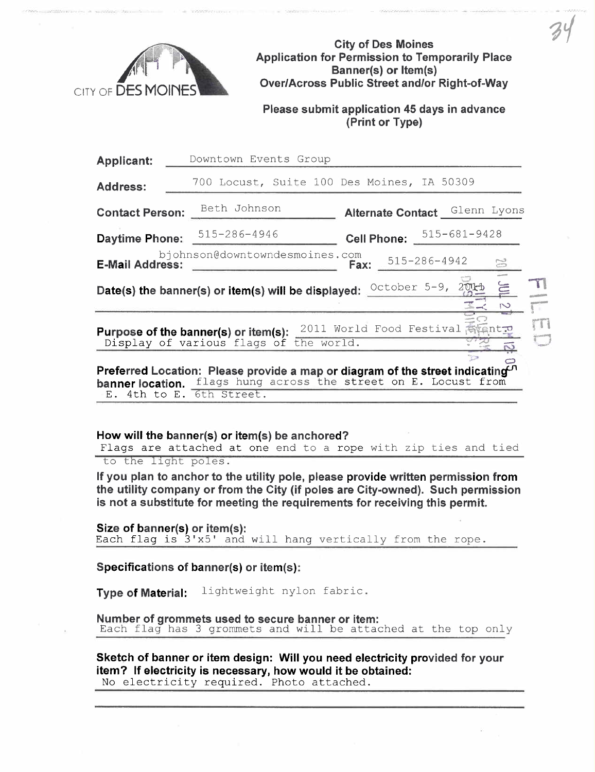

City of Des Moines Application for Permission to Temporarily Place Banner(s) or Item(s) Over/Across Public Street and/or Right-of-Way

 $34$ 

Please submit application 45 days in advance (Print or Type)

| <b>Applicant:</b>                                                                                                                                                                                  | Downtown Events Group                                                                                             |  |  |  |  |  |  |
|----------------------------------------------------------------------------------------------------------------------------------------------------------------------------------------------------|-------------------------------------------------------------------------------------------------------------------|--|--|--|--|--|--|
| <b>Address:</b>                                                                                                                                                                                    | 700 Locust, Suite 100 Des Moines, IA 50309                                                                        |  |  |  |  |  |  |
| <b>Contact Person:</b>                                                                                                                                                                             | Beth Johnson<br>Alternate Contact Glenn Lyons                                                                     |  |  |  |  |  |  |
| <b>Daytime Phone:</b>                                                                                                                                                                              | $515 - 681 - 9428$<br>515-286-4946<br><b>Cell Phone:</b>                                                          |  |  |  |  |  |  |
| bjohnson@downtowndesmoines.com<br>515-286-4942<br>$\mathbb{S}^3$<br><b>E-Mail Address:</b><br>Fax:                                                                                                 |                                                                                                                   |  |  |  |  |  |  |
| October 5-9,<br>201<br>Date(s) the banner(s) or item(s) will be displayed:                                                                                                                         |                                                                                                                   |  |  |  |  |  |  |
|                                                                                                                                                                                                    | 2011 World Food Festival aventt<br>Purpose of the banner(s) or item(s):<br>Display of various flags of the world. |  |  |  |  |  |  |
| Preferred Location: Please provide a map or diagram of the street indicating <sup>n</sup><br>flags hung across the street on E. Locust from<br>banner location.<br>6th Street.<br>$E.$ 4th to $E.$ |                                                                                                                   |  |  |  |  |  |  |

## How will the banner(s) or item(s) be anchored?

Flags are attached at one end to a rope with zip ties and tied to the light poles.

If you plan to anchor to the utility pole, please provide written permission from the utilty company or from the City (if poles are City-owned). Such permission is not a substitute for meeting the requirements for receiving this permit.

**Size of banner(s) or item(s):** Each flag is  $3' \times 5'$  and will hang vertically from the rope.

Specifications of banner(s) or item(s):

Type of Material: lightweight nylon fabric.

Number of grommets used to secure banner or item: Each flag has 3 grommets and will be attached at the top only

Sketch of banner or item design: Will you need electricity provided for your item? If electricity is necessary, how would it be obtained: No electricity required. Photo attached.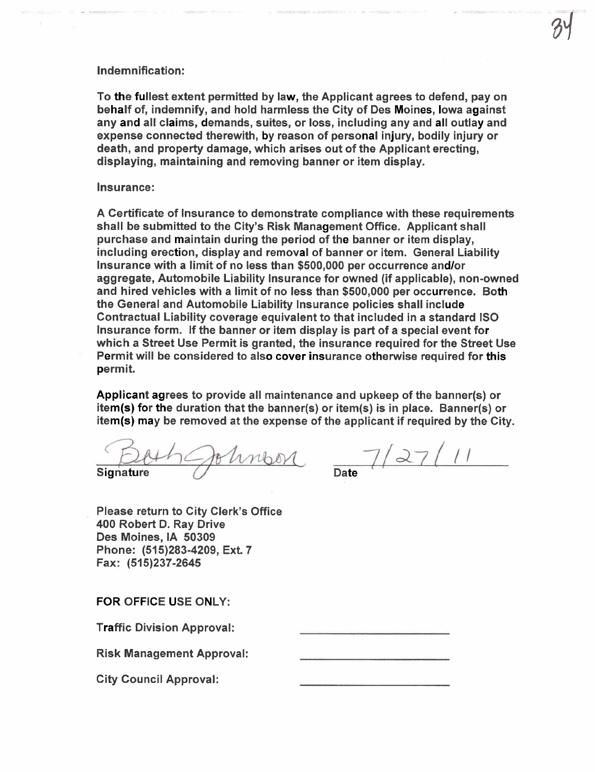## Indemnification:

To the fullest extent permitted by law, the Applicant agrees to defend, pay on behalf of, indemnify, and hold harmless the City of Des Moines, Iowa against any and all claims, demands, suites, or loss, including any and all outlay and expense connected therewith, by reason of personal injury, bodily injury or death, and property damage, which arises out of the Applicant erecting, displaying, maintaining and removing banner or item display.

## Insurance:

A Certificate of Insurance to demonstrate compliance with these requirements shall be submitted to the City's Risk Management Office. Applicant shall purchase and maintain during the period of the banner or item display, including erection, display and removal of banner or item. General Liabilty Insurance with a limit of no less than \$500,000 per occurrence and/or aggregate, Automobile Liabilty Insurance for owned (if applicable), non-owned and hired vehicles with a limit of no less than \$500,000 per occurrence. Both the General and Automobile Liabilty Insurance policies shall include Contractual Liabilty coverage equivalent to that included in a standard ISO Insurance form. If the banner or item display is part of a special event for which a Street Use Permit is granted, the insurance required for the Street Use Permit will be considered to also cover insurance otherwise required for this permit.

Applicant agrees to provide all maintenance and upkeep of the banner(s) or item(s) for the duration that the banner(s) or item(s) is in place. Banner(s) or

item(s) may be removed at the expense of the applicant if required by the City.<br> $\frac{D(A \cap B \cup B)}{B}$  which  $\frac{D(A \cap B)}{B}$ Impor

Signature

 $7/27/$ 

Please return to City Clerk's Office 400 Robert D. Ray Drive Des Moines, IA 50309 Phone: (515)283-4209, Ext. 7 Fax: (515)237-2645

FOR OFFICE USE ONLY:

Traffic Division Approval:

Risk Management Approval:

City Council Approval: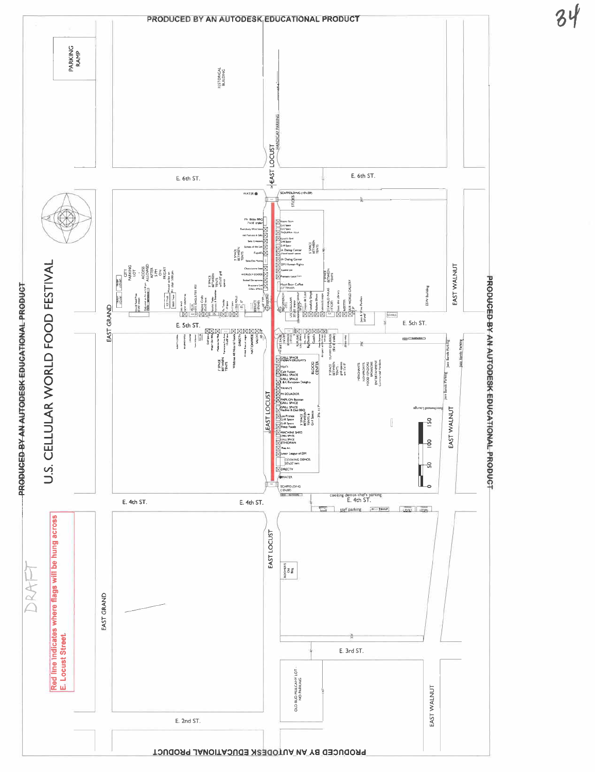